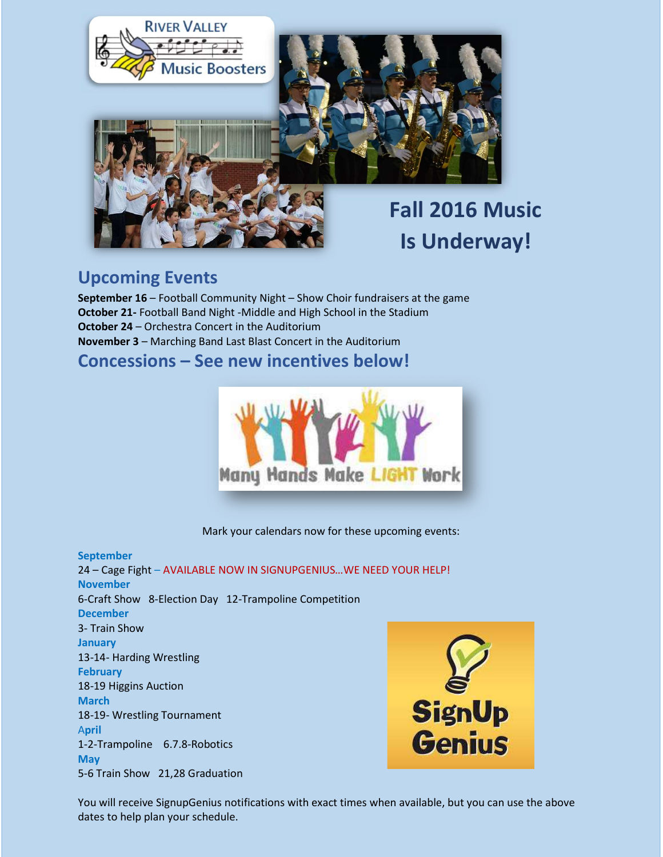

# Fall 2016 Music Is Underway!

#### Upcoming Events

September 16 – Football Community Night – Show Choir fundraisers at the game October 21- Football Band Night -Middle and High School in the Stadium October 24 – Orchestra Concert in the Auditorium November 3 – Marching Band Last Blast Concert in the Auditorium

Concessions – See new incentives below!



Mark your calendars now for these upcoming events:

September 24 – Cage Fight – AVAILABLE NOW IN SIGNUPGENIUS…WE NEED YOUR HELP! November 6-Craft Show 8-Election Day 12-Trampoline Competition December 3- Train Show January 13-14- Harding Wrestling **February** 18-19 Higgins Auction March 18-19- Wrestling Tournament April 1-2-Trampoline 6.7.8-Robotics **May** 5-6 Train Show 21,28 Graduation



You will receive SignupGenius notifications with exact times when available, but you can use the above dates to help plan your schedule.